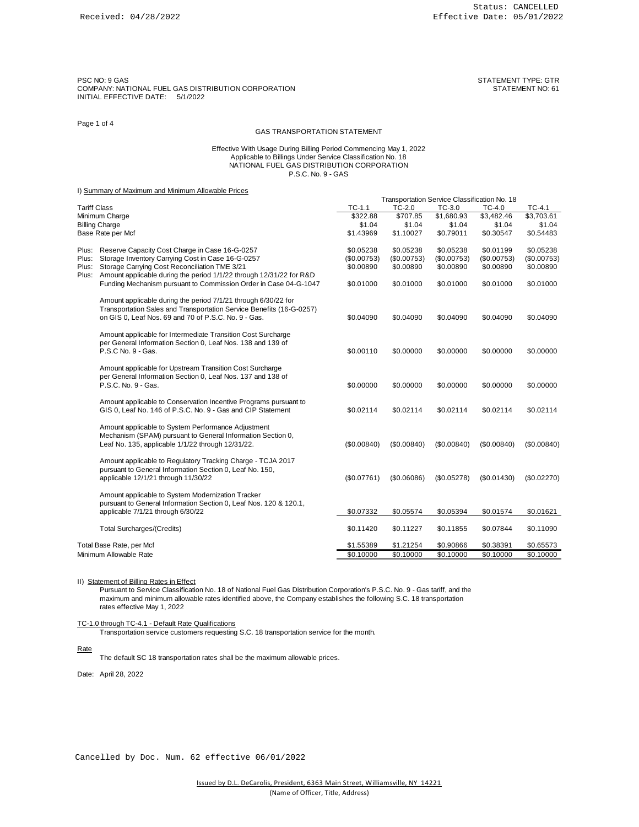PSC NO: 9 GAS<br>COMPANY: NATIONAL FUEL GAS DISTRIBUTION CORPORATION<br>STATEMENT NO: 61 COMPANY: NATIONAL FUEL GAS DISTRIBUTION CORPORATION INITIAL EFFECTIVE DATE: 5/1/2022

## Page 1 of 4

# GAS TRANSPORTATION STATEMENT

### Effective With Usage During Billing Period Commencing May 1, 2022 Applicable to Billings Under Service Classification No. 18 NATIONAL FUEL GAS DISTRIBUTION CORPORATION P.S.C. No. 9 - GAS

## I) Summary of Maximum and Minimum Allowable Prices

|                                                              | <b>Utilitially UI IVIDANTIQUE DURING IVILITIQUE / VIIO WOOTU FITOUS</b>                                                                                                                        |             |             | Transportation Service Classification No. 18 |             |             |
|--------------------------------------------------------------|------------------------------------------------------------------------------------------------------------------------------------------------------------------------------------------------|-------------|-------------|----------------------------------------------|-------------|-------------|
| <b>Tariff Class</b>                                          |                                                                                                                                                                                                | $TC-1.1$    | $TC-2.0$    | $TC-3.0$                                     | TC-4.0      | TC-4.1      |
| Minimum Charge<br><b>Billing Charge</b><br>Base Rate per Mcf |                                                                                                                                                                                                | \$322.88    | \$707.85    | \$1,680.93                                   | \$3,482.46  | \$3,703.61  |
|                                                              |                                                                                                                                                                                                | \$1.04      | \$1.04      | \$1.04                                       | \$1.04      | \$1.04      |
|                                                              |                                                                                                                                                                                                | \$1.43969   | \$1.10027   | \$0.79011                                    | \$0.30547   | \$0.54483   |
|                                                              | Plus: Reserve Capacity Cost Charge in Case 16-G-0257                                                                                                                                           | \$0.05238   | \$0.05238   | \$0.05238                                    | \$0.01199   | \$0.05238   |
| Plus:                                                        | Storage Inventory Carrying Cost in Case 16-G-0257                                                                                                                                              | (\$0.00753) | (\$0.00753) | (\$0.00753)                                  | (\$0.00753) | (\$0.00753) |
| Plus:                                                        | Storage Carrying Cost Reconciliation TME 3/21                                                                                                                                                  | \$0.00890   | \$0.00890   | \$0.00890                                    | \$0.00890   | \$0.00890   |
|                                                              | Plus: Amount applicable during the period 1/1/22 through 12/31/22 for R&D                                                                                                                      |             |             |                                              |             |             |
|                                                              | Funding Mechanism pursuant to Commission Order in Case 04-G-1047                                                                                                                               | \$0.01000   | \$0.01000   | \$0.01000                                    | \$0.01000   | \$0.01000   |
|                                                              | Amount applicable during the period 7/1/21 through 6/30/22 for<br>Transportation Sales and Transportation Service Benefits (16-G-0257)<br>on GIS 0, Leaf Nos. 69 and 70 of P.S.C. No. 9 - Gas. | \$0.04090   | \$0.04090   | \$0.04090                                    | \$0.04090   | \$0.04090   |
|                                                              | Amount applicable for Intermediate Transition Cost Surcharge<br>per General Information Section 0, Leaf Nos. 138 and 139 of<br>P.S.C No. 9 - Gas.                                              | \$0.00110   | \$0.00000   | \$0.00000                                    | \$0.00000   | \$0.00000   |
|                                                              | Amount applicable for Upstream Transition Cost Surcharge<br>per General Information Section 0, Leaf Nos. 137 and 138 of<br>P.S.C. No. 9 - Gas.                                                 | \$0.00000   | \$0.00000   | \$0.00000                                    | \$0.00000   | \$0.00000   |
|                                                              | Amount applicable to Conservation Incentive Programs pursuant to<br>GIS 0, Leaf No. 146 of P.S.C. No. 9 - Gas and CIP Statement                                                                | \$0.02114   | \$0.02114   | \$0.02114                                    | \$0.02114   | \$0.02114   |
|                                                              | Amount applicable to System Performance Adjustment<br>Mechanism (SPAM) pursuant to General Information Section 0,<br>Leaf No. 135, applicable 1/1/22 through 12/31/22.                         | (S0.00840)  | (\$0.00840) | (\$0.00840)                                  | (\$0.00840) | (S0.00840)  |
|                                                              | Amount applicable to Regulatory Tracking Charge - TCJA 2017<br>pursuant to General Information Section 0, Leaf No. 150,<br>applicable 12/1/21 through 11/30/22                                 | (\$0.07761) | (\$0.06086) | (\$0.05278)                                  | (S0.01430)  | (\$0.02270) |
|                                                              | Amount applicable to System Modernization Tracker<br>pursuant to General Information Section 0, Leaf Nos. 120 & 120.1,                                                                         |             |             |                                              |             |             |
|                                                              | applicable 7/1/21 through 6/30/22                                                                                                                                                              | \$0.07332   | \$0.05574   | \$0.05394                                    | \$0.01574   | \$0.01621   |
|                                                              | <b>Total Surcharges/(Credits)</b>                                                                                                                                                              | \$0.11420   | \$0.11227   | \$0.11855                                    | \$0.07844   | \$0.11090   |
| Total Base Rate, per Mcf                                     |                                                                                                                                                                                                | \$1.55389   | \$1.21254   | \$0.90866                                    | \$0.38391   | \$0.65573   |
| Minimum Allowable Rate                                       |                                                                                                                                                                                                | \$0.10000   | \$0.10000   | \$0.10000                                    | \$0.10000   | \$0.10000   |
|                                                              |                                                                                                                                                                                                |             |             |                                              |             |             |

## II) Statement of Billing Rates in Effect

Pursuant to Service Classification No. 18 of National Fuel Gas Distribution Corporation's P.S.C. No. 9 - Gas tariff, and the maximum and minimum allowable rates identified above, the Company establishes the following S.C. 18 transportation rates effective May 1, 2022

TC-1.0 through TC-4.1 - Default Rate Qualifications

Transportation service customers requesting S.C. 18 transportation service for the month.

Rate

The default SC 18 transportation rates shall be the maximum allowable prices.

Date: April 28, 2022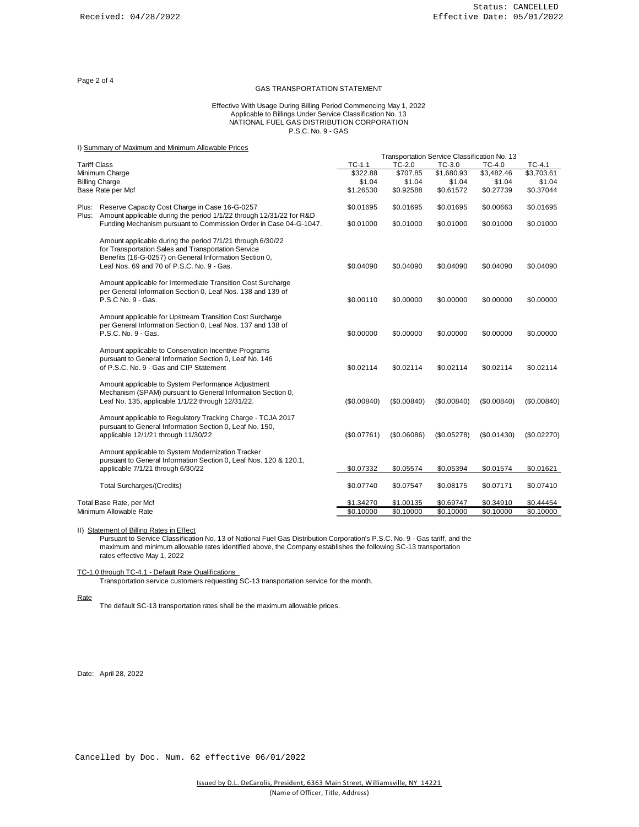Page 2 of 4

# GAS TRANSPORTATION STATEMENT

#### Effective With Usage During Billing Period Commencing May 1, 2022 Applicable to Billings Under Service Classification No. 13 NATIONAL FUEL GAS DISTRIBUTION CORPORATION P.S.C. No. 9 - GAS

|                        | I) Summary of Maximum and Minimum Allowable Prices                                                                                                                          |                     |             |                                              |             |             |
|------------------------|-----------------------------------------------------------------------------------------------------------------------------------------------------------------------------|---------------------|-------------|----------------------------------------------|-------------|-------------|
|                        |                                                                                                                                                                             |                     |             | Transportation Service Classification No. 13 |             |             |
| <b>Tariff Class</b>    |                                                                                                                                                                             | $TC-1.1$            | $TC-2.0$    | TC-3.0                                       | TC-4.0      | $TC-4.1$    |
| Minimum Charge         |                                                                                                                                                                             | \$322.88            | \$707.85    | \$1,680.93                                   | \$3,482.46  | \$3,703.61  |
| <b>Billing Charge</b>  |                                                                                                                                                                             | \$1.04<br>\$1.26530 | \$1.04      | \$1.04                                       | \$1.04      | \$1.04      |
|                        | Base Rate per Mcf                                                                                                                                                           |                     | \$0.92588   | \$0.61572                                    | \$0.27739   | \$0.37044   |
|                        | Plus: Reserve Capacity Cost Charge in Case 16-G-0257<br>Plus: Amount applicable during the period 1/1/22 through 12/31/22 for R&D                                           | \$0.01695           | \$0.01695   | \$0.01695                                    | \$0.00663   | \$0.01695   |
|                        | Funding Mechanism pursuant to Commission Order in Case 04-G-1047.                                                                                                           | \$0.01000           | \$0.01000   | \$0.01000                                    | \$0.01000   | \$0.01000   |
|                        | Amount applicable during the period 7/1/21 through 6/30/22<br>for Transportation Sales and Transportation Service<br>Benefits (16-G-0257) on General Information Section 0, |                     |             |                                              |             |             |
|                        | Leaf Nos. 69 and 70 of P.S.C. No. 9 - Gas.                                                                                                                                  | \$0.04090           | \$0.04090   | \$0.04090                                    | \$0.04090   | \$0.04090   |
|                        | Amount applicable for Intermediate Transition Cost Surcharge<br>per General Information Section 0, Leaf Nos. 138 and 139 of<br>P.S.C No. 9 - Gas.                           | \$0.00110           | \$0.00000   | \$0.00000                                    | \$0.00000   | \$0.00000   |
|                        | Amount applicable for Upstream Transition Cost Surcharge<br>per General Information Section 0, Leaf Nos. 137 and 138 of<br>P.S.C. No. 9 - Gas.                              | \$0.00000           | \$0.00000   | \$0.00000                                    | \$0.00000   | \$0.00000   |
|                        | Amount applicable to Conservation Incentive Programs<br>pursuant to General Information Section 0, Leaf No. 146<br>of P.S.C. No. 9 - Gas and CIP Statement                  | \$0.02114           | \$0.02114   | \$0.02114                                    | \$0.02114   | \$0.02114   |
|                        | Amount applicable to System Performance Adjustment<br>Mechanism (SPAM) pursuant to General Information Section 0,<br>Leaf No. 135, applicable 1/1/22 through 12/31/22.      | (S0.00840)          | (\$0.00840) | (\$0.00840)                                  | (\$0.00840) | (S0.00840)  |
|                        | Amount applicable to Regulatory Tracking Charge - TCJA 2017<br>pursuant to General Information Section 0, Leaf No. 150,<br>applicable 12/1/21 through 11/30/22              | (\$0.07761)         | (\$0.06086) | (\$0.05278)                                  | (\$0.01430) | (\$0.02270) |
|                        | Amount applicable to System Modernization Tracker<br>pursuant to General Information Section 0, Leaf Nos. 120 & 120.1,                                                      |                     |             |                                              |             |             |
|                        | applicable 7/1/21 through 6/30/22                                                                                                                                           | \$0.07332           | \$0.05574   | \$0.05394                                    | \$0.01574   | \$0.01621   |
|                        | <b>Total Surcharges/(Credits)</b>                                                                                                                                           | \$0.07740           | \$0.07547   | \$0.08175                                    | \$0.07171   | \$0.07410   |
|                        | Total Base Rate, per Mcf                                                                                                                                                    | \$1.34270           | \$1.00135   | \$0.69747                                    | \$0.34910   | \$0.44454   |
| Minimum Allowable Rate |                                                                                                                                                                             | \$0.10000           | \$0.10000   | \$0.10000                                    | \$0.10000   | \$0.10000   |

# II) Statement of Billing Rates in Effect

Pursuant to Service Classification No. 13 of National Fuel Gas Distribution Corporation's P.S.C. No. 9 - Gas tariff, and the maximum and minimum allowable rates identified above, the Company establishes the following SC-13 transportation rates effective May 1, 2022

TC-1.0 through TC-4.1 - Default Rate Qualifications

Transportation service customers requesting SC-13 transportation service for the month.

Rate

The default SC-13 transportation rates shall be the maximum allowable prices.

Date: April 28, 2022

Cancelled by Doc. Num. 62 effective 06/01/2022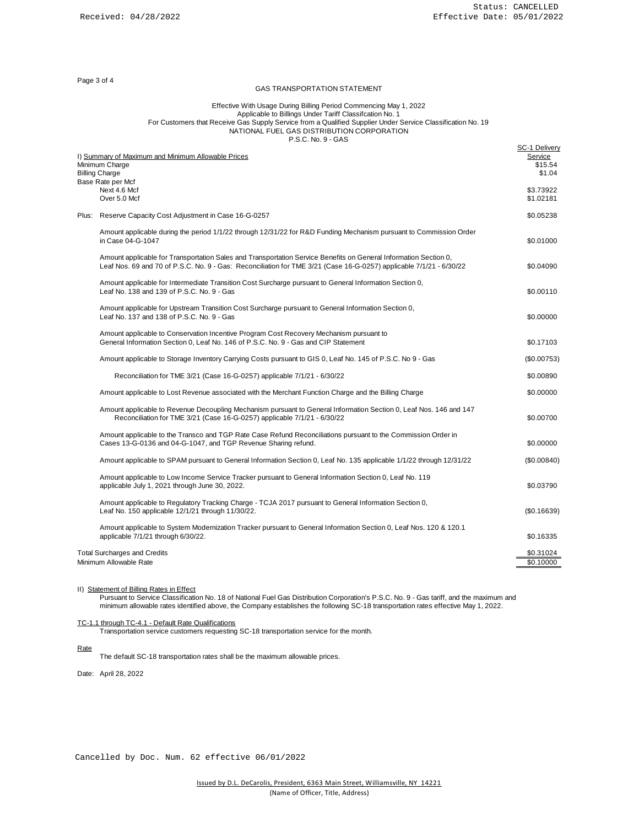Page 3 of 4

# GAS TRANSPORTATION STATEMENT

### Effective With Usage During Billing Period Commencing May 1, 2022 Applicable to Billings Under Tariff Classifcation No. 1 For Customers that Receive Gas Supply Service from a Qualified Supplier Under Service Classification No. 19 NATIONAL FUEL GAS DISTRIBUTION CORPORATION P.S.C. No. 9 - GAS

|  | I) Summary of Maximum and Minimum Allowable Prices<br>Minimum Charge<br><b>Billing Charge</b>                                                                                                                                           | SC-1 Delivery<br>Service<br>\$15.54<br>\$1.04 |
|--|-----------------------------------------------------------------------------------------------------------------------------------------------------------------------------------------------------------------------------------------|-----------------------------------------------|
|  | Base Rate per Mcf<br>Next 4.6 Mcf<br>Over 5.0 Mcf                                                                                                                                                                                       | \$3.73922<br>\$1.02181                        |
|  | Plus: Reserve Capacity Cost Adjustment in Case 16-G-0257                                                                                                                                                                                | \$0.05238                                     |
|  | Amount applicable during the period 1/1/22 through 12/31/22 for R&D Funding Mechanism pursuant to Commission Order<br>in Case 04-G-1047                                                                                                 | \$0.01000                                     |
|  | Amount applicable for Transportation Sales and Transportation Service Benefits on General Information Section 0,<br>Leaf Nos. 69 and 70 of P.S.C. No. 9 - Gas: Reconciliation for TME 3/21 (Case 16-G-0257) applicable 7/1/21 - 6/30/22 | \$0.04090                                     |
|  | Amount applicable for Intermediate Transition Cost Surcharge pursuant to General Information Section 0,<br>Leaf No. 138 and 139 of P.S.C. No. 9 - Gas                                                                                   | \$0.00110                                     |
|  | Amount applicable for Upstream Transition Cost Surcharge pursuant to General Information Section 0,<br>Leaf No. 137 and 138 of P.S.C. No. 9 - Gas                                                                                       | \$0.00000                                     |
|  | Amount applicable to Conservation Incentive Program Cost Recovery Mechanism pursuant to<br>General Information Section 0, Leaf No. 146 of P.S.C. No. 9 - Gas and CIP Statement                                                          | \$0.17103                                     |
|  | Amount applicable to Storage Inventory Carrying Costs pursuant to GIS 0, Leaf No. 145 of P.S.C. No 9 - Gas                                                                                                                              | (\$0.00753)                                   |
|  | Reconciliation for TME 3/21 (Case 16-G-0257) applicable 7/1/21 - 6/30/22                                                                                                                                                                | \$0.00890                                     |
|  | Amount applicable to Lost Revenue associated with the Merchant Function Charge and the Billing Charge                                                                                                                                   | \$0.00000                                     |
|  | Amount applicable to Revenue Decoupling Mechanism pursuant to General Information Section 0, Leaf Nos. 146 and 147<br>Reconciliation for TME 3/21 (Case 16-G-0257) applicable 7/1/21 - 6/30/22                                          | \$0.00700                                     |
|  | Amount applicable to the Transco and TGP Rate Case Refund Reconciliations pursuant to the Commission Order in<br>Cases 13-G-0136 and 04-G-1047, and TGP Revenue Sharing refund.                                                         | \$0.00000                                     |
|  | Amount applicable to SPAM pursuant to General Information Section 0, Leaf No. 135 applicable 1/1/22 through 12/31/22                                                                                                                    | (S0.00840)                                    |
|  | Amount applicable to Low Income Service Tracker pursuant to General Information Section 0, Leaf No. 119<br>applicable July 1, 2021 through June 30, 2022.                                                                               | \$0.03790                                     |
|  | Amount applicable to Regulatory Tracking Charge - TCJA 2017 pursuant to General Information Section 0,<br>Leaf No. 150 applicable 12/1/21 through 11/30/22.                                                                             | (S0.16639)                                    |
|  | Amount applicable to System Modernization Tracker pursuant to General Information Section 0, Leaf Nos. 120 & 120.1<br>applicable 7/1/21 through 6/30/22.                                                                                | \$0.16335                                     |
|  | <b>Total Surcharges and Credits</b><br>Minimum Allowable Rate                                                                                                                                                                           | \$0.31024<br>\$0.10000                        |

II) Statement of Billing Rates in Effect

Pursuant to Service Classification No. 18 of National Fuel Gas Distribution Corporation's P.S.C. No. 9 - Gas tariff, and the maximum and minimum allowable rates identified above, the Company establishes the following SC-18 transportation rates effective May 1, 2022.

TC-1.1 through TC-4.1 - Default Rate Qualifications

Transportation service customers requesting SC-18 transportation service for the month.

**Rate** 

The default SC-18 transportation rates shall be the maximum allowable prices.

Date: April 28, 2022

Cancelled by Doc. Num. 62 effective 06/01/2022